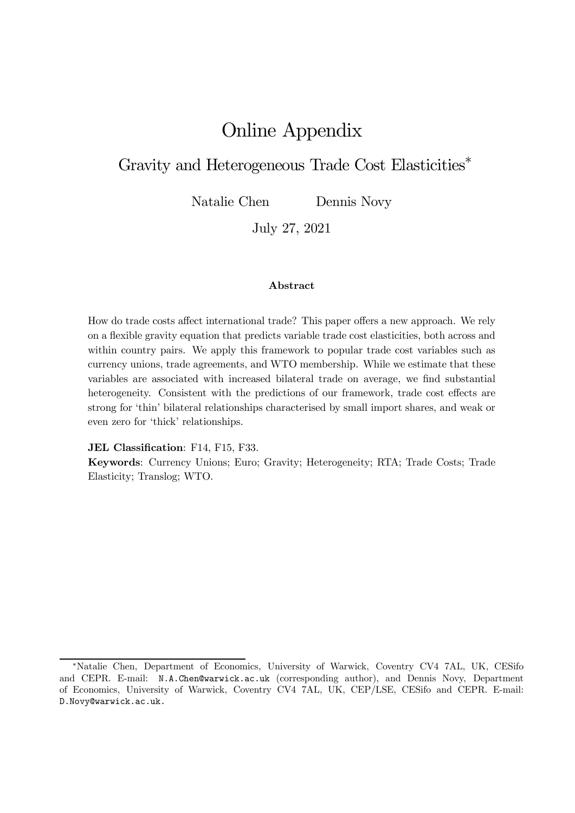# Online Appendix

## Gravity and Heterogeneous Trade Cost Elasticities<sup>\*</sup>

Natalie Chen Dennis Novy

July 27, 2021

#### Abstract

How do trade costs affect international trade? This paper offers a new approach. We rely on a flexible gravity equation that predicts variable trade cost elasticities, both across and within country pairs. We apply this framework to popular trade cost variables such as currency unions, trade agreements, and WTO membership. While we estimate that these variables are associated with increased bilateral trade on average, we find substantial heterogeneity. Consistent with the predictions of our framework, trade cost effects are strong for 'thin' bilateral relationships characterised by small import shares, and weak or even zero for 'thick' relationships.

#### JEL Classification: F14, F15, F33.

Keywords: Currency Unions; Euro; Gravity; Heterogeneity; RTA; Trade Costs; Trade Elasticity; Translog; WTO.

<sup>¤</sup>Natalie Chen, Department of Economics, University of Warwick, Coventry CV4 7AL, UK, CESifo and CEPR. E-mail: N.A.Chen@warwick.ac.uk (corresponding author), and Dennis Novy, Department of Economics, University of Warwick, Coventry CV4 7AL, UK, CEP/LSE, CESifo and CEPR. E-mail: D.Novy@warwick.ac.uk.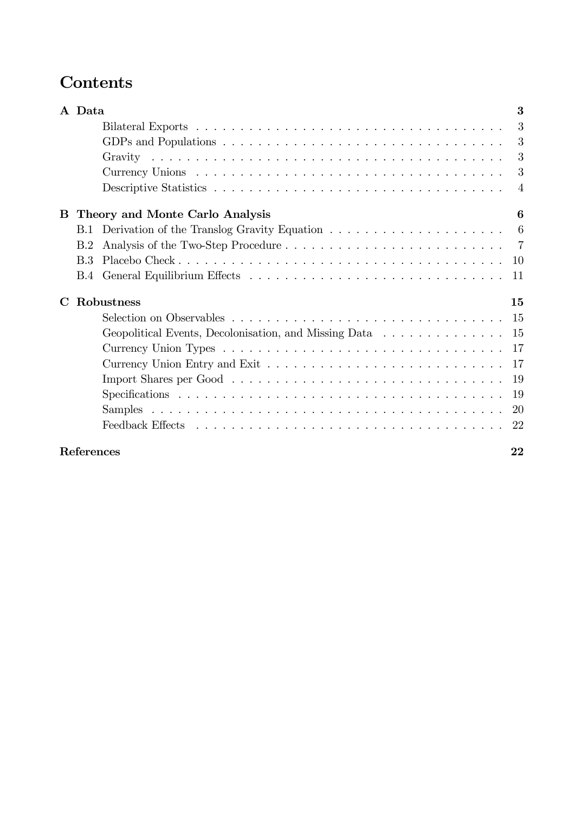# Contents

|             | A Data     |                                                                                                                 | 3              |
|-------------|------------|-----------------------------------------------------------------------------------------------------------------|----------------|
|             |            |                                                                                                                 | 3              |
|             |            |                                                                                                                 | 3              |
|             |            |                                                                                                                 | 3              |
|             |            |                                                                                                                 | 3              |
|             |            |                                                                                                                 | $\overline{4}$ |
| B           |            | Theory and Monte Carlo Analysis                                                                                 | 6              |
|             | B.1        |                                                                                                                 | 6              |
|             | B.2        |                                                                                                                 | - 7            |
|             | B.3        |                                                                                                                 | 10             |
|             | <b>B.4</b> |                                                                                                                 | 11             |
| $\mathbf C$ |            | Robustness                                                                                                      | 15             |
|             |            |                                                                                                                 |                |
|             |            | Geopolitical Events, Decolonisation, and Missing Data $\dots \dots \dots \dots \dots \dots$                     |                |
|             |            |                                                                                                                 |                |
|             |            |                                                                                                                 | 17             |
|             |            | Import Shares per Good $\ldots \ldots \ldots \ldots \ldots \ldots \ldots \ldots \ldots \ldots \ldots \ldots$ 19 |                |
|             |            |                                                                                                                 |                |
|             |            |                                                                                                                 |                |
|             |            |                                                                                                                 | -22            |
|             | References |                                                                                                                 | 22             |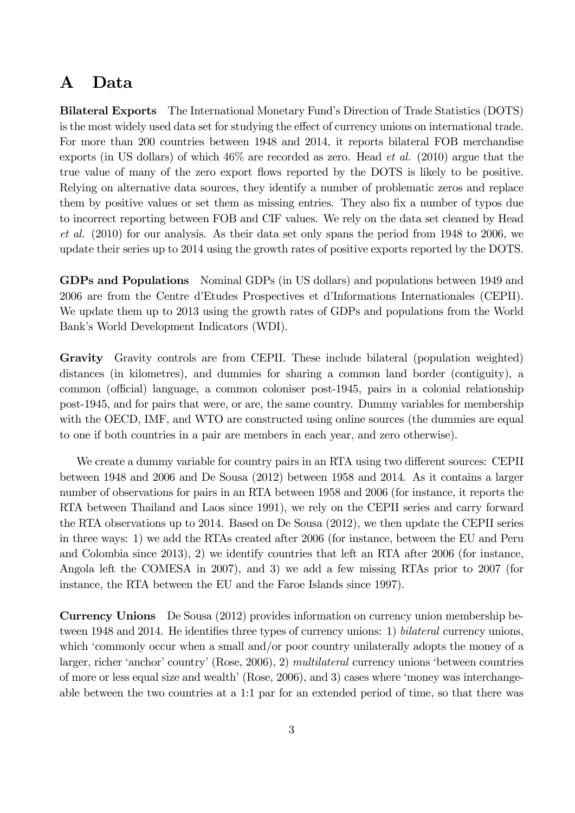## A Data

Bilateral Exports The International Monetary Fund's Direction of Trade Statistics (DOTS) is the most widely used data set for studying the effect of currency unions on international trade. For more than 200 countries between 1948 and 2014, it reports bilateral FOB merchandise exports (in US dollars) of which 46% are recorded as zero. Head *et al.* (2010) argue that the true value of many of the zero export flows reported by the DOTS is likely to be positive. Relying on alternative data sources, they identify a number of problematic zeros and replace them by positive values or set them as missing entries. They also fix a number of typos due to incorrect reporting between FOB and CIF values. We rely on the data set cleaned by Head *et al.* (2010) for our analysis. As their data set only spans the period from 1948 to 2006, we update their series up to 2014 using the growth rates of positive exports reported by the DOTS.

GDPs and Populations Nominal GDPs (in US dollars) and populations between 1949 and 2006 are from the Centre d'Etudes Prospectives et d'Informations Internationales (CEPII). We update them up to 2013 using the growth rates of GDPs and populations from the World Bank's World Development Indicators (WDI).

Gravity Gravity controls are from CEPII. These include bilateral (population weighted) distances (in kilometres), and dummies for sharing a common land border (contiguity), a common (official) language, a common coloniser post-1945, pairs in a colonial relationship post-1945, and for pairs that were, or are, the same country. Dummy variables for membership with the OECD, IMF, and WTO are constructed using online sources (the dummies are equal to one if both countries in a pair are members in each year, and zero otherwise).

We create a dummy variable for country pairs in an RTA using two different sources: CEPII between 1948 and 2006 and De Sousa (2012) between 1958 and 2014. As it contains a larger number of observations for pairs in an RTA between 1958 and 2006 (for instance, it reports the RTA between Thailand and Laos since 1991), we rely on the CEPII series and carry forward the RTA observations up to 2014. Based on De Sousa (2012), we then update the CEPII series in three ways: 1) we add the RTAs created after 2006 (for instance, between the EU and Peru and Colombia since 2013), 2) we identify countries that left an RTA after 2006 (for instance, Angola left the COMESA in 2007), and 3) we add a few missing RTAs prior to 2007 (for instance, the RTA between the EU and the Faroe Islands since 1997).

Currency Unions De Sousa (2012) provides information on currency union membership between 1948 and 2014. He identifies three types of currency unions: 1) *bilateral* currency unions, which 'commonly occur when a small and/or poor country unilaterally adopts the money of a larger, richer 'anchor' country' (Rose, 2006), 2) *multilateral* currency unions 'between countries of more or less equal size and wealth' (Rose, 2006), and 3) cases where 'money was interchangeable between the two countries at a 1:1 par for an extended period of time, so that there was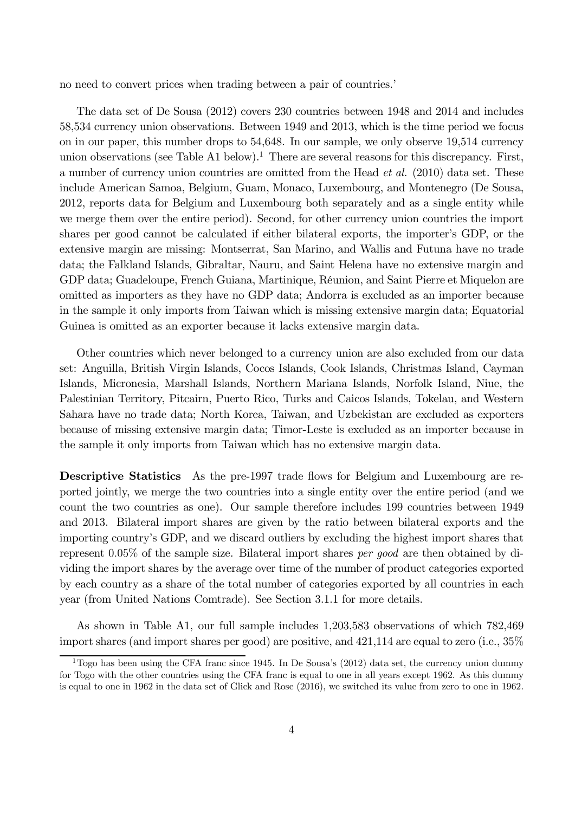no need to convert prices when trading between a pair of countries.'

The data set of De Sousa (2012) covers 230 countries between 1948 and 2014 and includes 58,534 currency union observations. Between 1949 and 2013, which is the time period we focus on in our paper, this number drops to 54,648. In our sample, we only observe 19,514 currency union observations (see Table A1 below).<sup>1</sup> There are several reasons for this discrepancy. First, a number of currency union countries are omitted from the Head *et al.* (2010) data set. These include American Samoa, Belgium, Guam, Monaco, Luxembourg, and Montenegro (De Sousa, 2012, reports data for Belgium and Luxembourg both separately and as a single entity while we merge them over the entire period). Second, for other currency union countries the import shares per good cannot be calculated if either bilateral exports, the importer's GDP, or the extensive margin are missing: Montserrat, San Marino, and Wallis and Futuna have no trade data; the Falkland Islands, Gibraltar, Nauru, and Saint Helena have no extensive margin and GDP data; Guadeloupe, French Guiana, Martinique, Réunion, and Saint Pierre et Miquelon are omitted as importers as they have no GDP data; Andorra is excluded as an importer because in the sample it only imports from Taiwan which is missing extensive margin data; Equatorial Guinea is omitted as an exporter because it lacks extensive margin data.

Other countries which never belonged to a currency union are also excluded from our data set: Anguilla, British Virgin Islands, Cocos Islands, Cook Islands, Christmas Island, Cayman Islands, Micronesia, Marshall Islands, Northern Mariana Islands, Norfolk Island, Niue, the Palestinian Territory, Pitcairn, Puerto Rico, Turks and Caicos Islands, Tokelau, and Western Sahara have no trade data; North Korea, Taiwan, and Uzbekistan are excluded as exporters because of missing extensive margin data; Timor-Leste is excluded as an importer because in the sample it only imports from Taiwan which has no extensive margin data.

Descriptive Statistics As the pre-1997 trade flows for Belgium and Luxembourg are reported jointly, we merge the two countries into a single entity over the entire period (and we count the two countries as one). Our sample therefore includes 199 countries between 1949 and 2013. Bilateral import shares are given by the ratio between bilateral exports and the importing country's GDP, and we discard outliers by excluding the highest import shares that represent 0.05% of the sample size. Bilateral import shares *per good* are then obtained by dividing the import shares by the average over time of the number of product categories exported by each country as a share of the total number of categories exported by all countries in each year (from United Nations Comtrade). See Section 3.1.1 for more details.

As shown in Table A1, our full sample includes 1,203,583 observations of which 782,469 import shares (and import shares per good) are positive, and 421,114 are equal to zero (i.e., 35%

<sup>&</sup>lt;sup>1</sup>Togo has been using the CFA franc since 1945. In De Sousa's  $(2012)$  data set, the currency union dummy for Togo with the other countries using the CFA franc is equal to one in all years except 1962. As this dummy is equal to one in 1962 in the data set of Glick and Rose (2016), we switched its value from zero to one in 1962.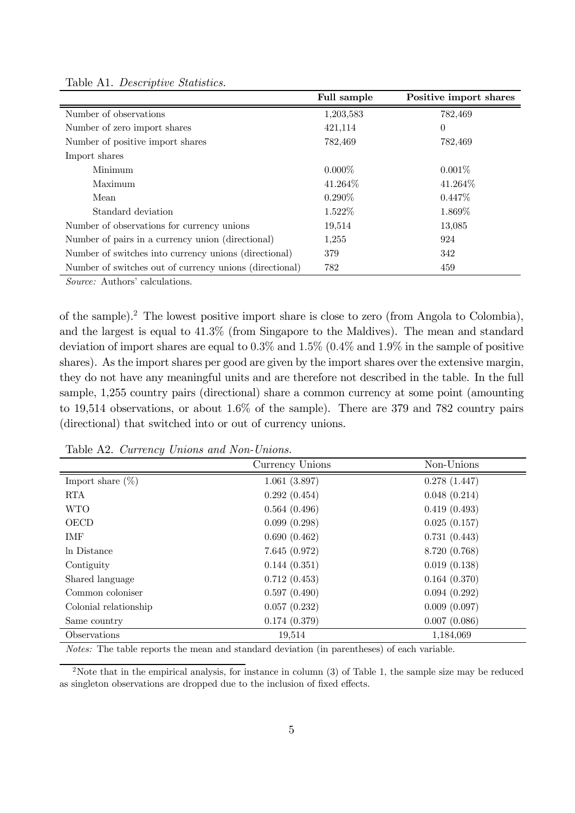|                                                         | Full sample | Positive import shares |
|---------------------------------------------------------|-------------|------------------------|
| Number of observations                                  | 1,203,583   | 782,469                |
| Number of zero import shares                            | 421,114     | $\theta$               |
| Number of positive import shares                        | 782,469     | 782,469                |
| Import shares                                           |             |                        |
| Minimum                                                 | $0.000\%$   | $0.001\%$              |
| Maximum                                                 | 41.264\%    | 41.264\%               |
| Mean                                                    | $0.290\%$   | $0.447\%$              |
| Standard deviation                                      | $1.522\%$   | 1.869\%                |
| Number of observations for currency unions              | 19,514      | 13,085                 |
| Number of pairs in a currency union (directional)       | 1,255       | 924                    |
| Number of switches into currency unions (directional)   | 379         | 342                    |
| Number of switches out of currency unions (directional) | 782         | 459                    |

Table A1. *Descriptive Statistics.*

*Source:* Authors' calculations.

of the sample).<sup>2</sup> The lowest positive import share is close to zero (from Angola to Colombia), and the largest is equal to 41.3% (from Singapore to the Maldives). The mean and standard deviation of import shares are equal to 0.3% and 1.5% (0.4% and 1.9% in the sample of positive shares). As the import shares per good are given by the import shares over the extensive margin, they do not have any meaningful units and are therefore not described in the table. In the full sample, 1,255 country pairs (directional) share a common currency at some point (amounting to 19,514 observations, or about 1.6% of the sample). There are 379 and 782 country pairs (directional) that switched into or out of currency unions.

|                       | Currency Unions | Non-Unions    |
|-----------------------|-----------------|---------------|
| Import share $(\%)$   | 1.061(3.897)    | 0.278(1.447)  |
| <b>RTA</b>            | 0.292(0.454)    | 0.048(0.214)  |
| <b>WTO</b>            | 0.564(0.496)    | 0.419(0.493)  |
| <b>OECD</b>           | 0.099(0.298)    | 0.025(0.157)  |
| IMF                   | 0.690(0.462)    | 0.731(0.443)  |
| In Distance           | 7.645(0.972)    | 8.720 (0.768) |
| Contiguity            | 0.144(0.351)    | 0.019(0.138)  |
| Shared language       | 0.712(0.453)    | 0.164(0.370)  |
| Common coloniser      | 0.597(0.490)    | 0.094(0.292)  |
| Colonial relationship | 0.057(0.232)    | 0.009(0.097)  |
| Same country          | 0.174(0.379)    | 0.007(0.086)  |
| Observations          | 19,514          | 1,184,069     |

Table A2. *Currency Unions and Non-Unions.*

*Notes:* The table reports the mean and standard deviation (in parentheses) of each variable.

<sup>2</sup>Note that in the empirical analysis, for instance in column (3) of Table 1, the sample size may be reduced as singleton observations are dropped due to the inclusion of fixed effects.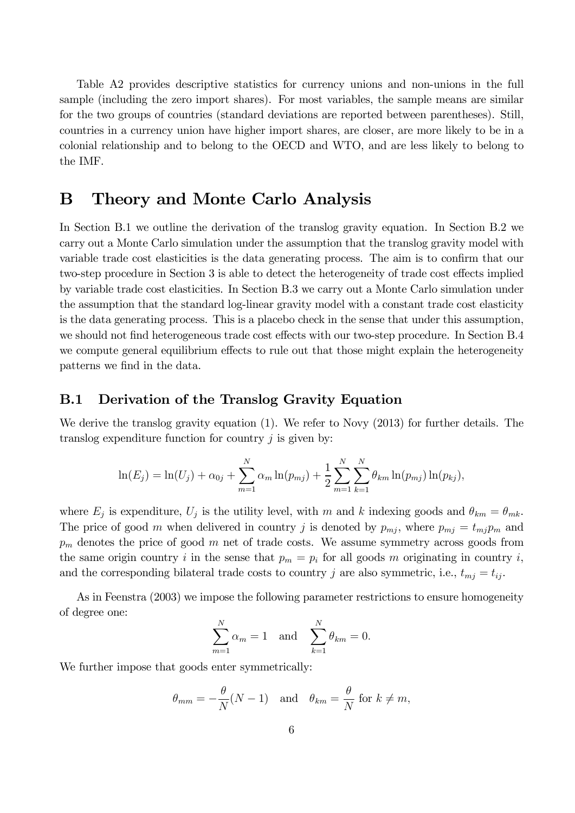Table A2 provides descriptive statistics for currency unions and non-unions in the full sample (including the zero import shares). For most variables, the sample means are similar for the two groups of countries (standard deviations are reported between parentheses). Still, countries in a currency union have higher import shares, are closer, are more likely to be in a colonial relationship and to belong to the OECD and WTO, and are less likely to belong to the IMF.

## B Theory and Monte Carlo Analysis

In Section B.1 we outline the derivation of the translog gravity equation. In Section B.2 we carry out a Monte Carlo simulation under the assumption that the translog gravity model with variable trade cost elasticities is the data generating process. The aim is to confirm that our two-step procedure in Section 3 is able to detect the heterogeneity of trade cost effects implied by variable trade cost elasticities. In Section B.3 we carry out a Monte Carlo simulation under the assumption that the standard log-linear gravity model with a constant trade cost elasticity is the data generating process. This is a placebo check in the sense that under this assumption, we should not find heterogeneous trade cost effects with our two-step procedure. In Section B.4 we compute general equilibrium effects to rule out that those might explain the heterogeneity patterns we find in the data.

### B.1 Derivation of the Translog Gravity Equation

We derive the translog gravity equation (1). We refer to Novy (2013) for further details. The translog expenditure function for country  $i$  is given by:

$$
\ln(E_j) = \ln(U_j) + \alpha_{0j} + \sum_{m=1}^{N} \alpha_m \ln(p_{mj}) + \frac{1}{2} \sum_{m=1}^{N} \sum_{k=1}^{N} \theta_{km} \ln(p_{mj}) \ln(p_{kj}),
$$

where  $E_j$  is expenditure,  $U_j$  is the utility level, with m and k indexing goods and  $\theta_{km} = \theta_{mk}$ . The price of good m when delivered in country j is denoted by  $p_{mj}$ , where  $p_{mj} = t_{mj}p_m$  and  $p_m$  denotes the price of good m net of trade costs. We assume symmetry across goods from the same origin country i in the sense that  $p_m = p_i$  for all goods m originating in country i, and the corresponding bilateral trade costs to country j are also symmetric, i.e.,  $t_{mj} = t_{ij}$ .

As in Feenstra (2003) we impose the following parameter restrictions to ensure homogeneity of degree one:

$$
\sum_{m=1}^{N} \alpha_m = 1
$$
 and  $\sum_{k=1}^{N} \theta_{km} = 0$ .

We further impose that goods enter symmetrically:

$$
\theta_{mm} = -\frac{\theta}{N}(N-1)
$$
 and  $\theta_{km} = \frac{\theta}{N}$  for  $k \neq m$ ,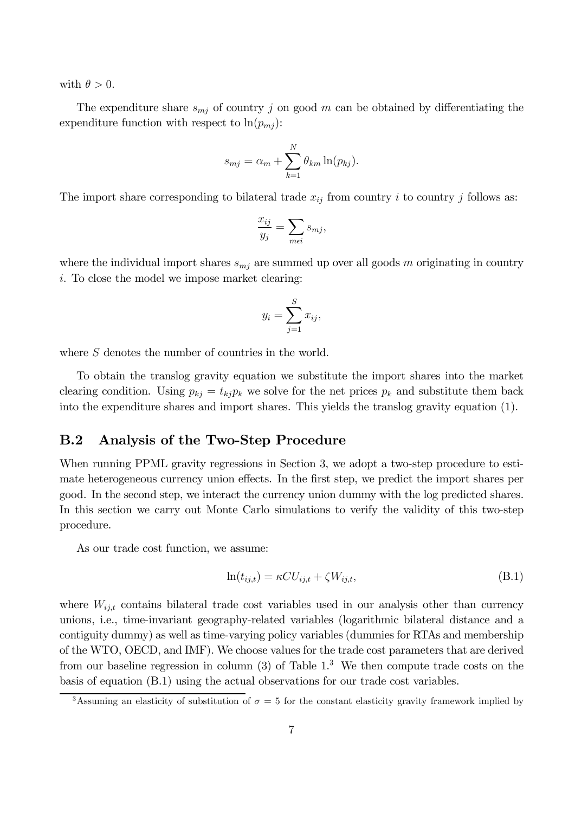with  $\theta > 0$ .

The expenditure share  $s_{mj}$  of country j on good m can be obtained by differentiating the expenditure function with respect to  $\ln(p_{mi})$ :

$$
s_{mj} = \alpha_m + \sum_{k=1}^N \theta_{km} \ln(p_{kj}).
$$

The import share corresponding to bilateral trade  $x_{ij}$  from country i to country j follows as:

$$
\frac{x_{ij}}{y_j} = \sum_{m \in i} s_{mj},
$$

where the individual import shares  $s_{mj}$  are summed up over all goods m originating in country i. To close the model we impose market clearing:

$$
y_i = \sum_{j=1}^S x_{ij},
$$

where S denotes the number of countries in the world.

To obtain the translog gravity equation we substitute the import shares into the market clearing condition. Using  $p_{kj} = t_{kj}p_k$  we solve for the net prices  $p_k$  and substitute them back into the expenditure shares and import shares. This yields the translog gravity equation (1).

### B.2 Analysis of the Two-Step Procedure

When running PPML gravity regressions in Section 3, we adopt a two-step procedure to estimate heterogeneous currency union effects. In the first step, we predict the import shares per good. In the second step, we interact the currency union dummy with the log predicted shares. In this section we carry out Monte Carlo simulations to verify the validity of this two-step procedure.

As our trade cost function, we assume:

$$
\ln(t_{ij,t}) = \kappa C U_{ij,t} + \zeta W_{ij,t},\tag{B.1}
$$

where  $W_{ij,t}$  contains bilateral trade cost variables used in our analysis other than currency unions, i.e., time-invariant geography-related variables (logarithmic bilateral distance and a contiguity dummy) as well as time-varying policy variables (dummies for RTAs and membership of the WTO, OECD, and IMF). We choose values for the trade cost parameters that are derived from our baseline regression in column  $(3)$  of Table 1.<sup>3</sup> We then compute trade costs on the basis of equation (B.1) using the actual observations for our trade cost variables.

<sup>&</sup>lt;sup>3</sup>Assuming an elasticity of substitution of  $\sigma = 5$  for the constant elasticity gravity framework implied by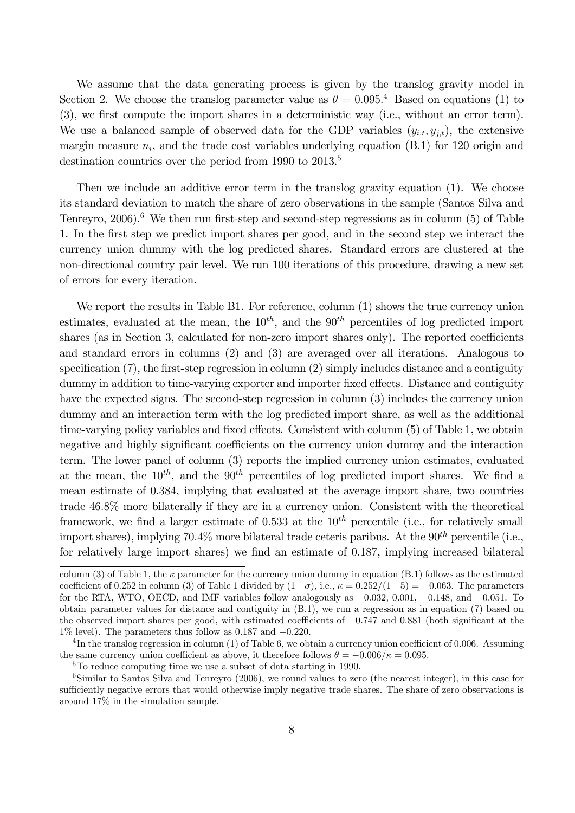We assume that the data generating process is given by the translog gravity model in Section 2. We choose the translog parameter value as  $\theta = 0.095$ .<sup>4</sup> Based on equations (1) to  $(3)$ , we first compute the import shares in a deterministic way (i.e., without an error term). We use a balanced sample of observed data for the GDP variables  $(y_{i,t}, y_{j,t})$ , the extensive margin measure  $n_i$ , and the trade cost variables underlying equation (B.1) for 120 origin and destination countries over the period from 1990 to 2013.<sup>5</sup>

Then we include an additive error term in the translog gravity equation (1). We choose its standard deviation to match the share of zero observations in the sample (Santos Silva and Tenreyro, 2006).<sup>6</sup> We then run first-step and second-step regressions as in column (5) of Table 1. In the first step we predict import shares per good, and in the second step we interact the currency union dummy with the log predicted shares. Standard errors are clustered at the non-directional country pair level. We run 100 iterations of this procedure, drawing a new set of errors for every iteration.

We report the results in Table B1. For reference, column  $(1)$  shows the true currency union estimates, evaluated at the mean, the  $10^{th}$ , and the  $90^{th}$  percentiles of log predicted import shares (as in Section 3, calculated for non-zero import shares only). The reported coefficients and standard errors in columns (2) and (3) are averaged over all iterations. Analogous to specification  $(7)$ , the first-step regression in column  $(2)$  simply includes distance and a contiguity dummy in addition to time-varying exporter and importer fixed effects. Distance and contiguity have the expected signs. The second-step regression in column (3) includes the currency union dummy and an interaction term with the log predicted import share, as well as the additional time-varying policy variables and fixed effects. Consistent with column  $(5)$  of Table 1, we obtain negative and highly significant coefficients on the currency union dummy and the interaction term. The lower panel of column (3) reports the implied currency union estimates, evaluated at the mean, the  $10^{th}$ , and the  $90^{th}$  percentiles of log predicted import shares. We find a mean estimate of 0.384, implying that evaluated at the average import share, two countries trade 46.8% more bilaterally if they are in a currency union. Consistent with the theoretical framework, we find a larger estimate of 0.533 at the  $10^{th}$  percentile (i.e., for relatively small import shares), implying  $70.4\%$  more bilateral trade ceteris paribus. At the  $90^{th}$  percentile (i.e., for relatively large import shares) we find an estimate of  $0.187$ , implying increased bilateral

column (3) of Table 1, the  $\kappa$  parameter for the currency union dummy in equation (B.1) follows as the estimated coefficient of 0.252 in column (3) of Table 1 divided by  $(1-\sigma)$ , i.e.,  $\kappa = 0.252/(1-5) = -0.063$ . The parameters for the RTA, WTO, OECD, and IMF variables follow analogously as  $-0.032$ , 0.001,  $-0.148$ , and  $-0.051$ . To obtain parameter values for distance and contiguity in (B.1), we run a regression as in equation (7) based on the observed import shares per good, with estimated coefficients of  $-0.747$  and 0.881 (both significant at the  $1\%$  level). The parameters thus follow as 0.187 and  $-0.220$ .

 ${}^{4}\text{In the translog regression in column (1) of Table 6, we obtain a currency union coefficient of 0.006. Assuming}$ the same currency union coefficient as above, it therefore follows  $\theta = -0.006/\kappa = 0.095$ .

<sup>5</sup>To reduce computing time we use a subset of data starting in 1990.

<sup>&</sup>lt;sup>6</sup>Similar to Santos Silva and Tenreyro (2006), we round values to zero (the nearest integer), in this case for sufficiently negative errors that would otherwise imply negative trade shares. The share of zero observations is around 17% in the simulation sample.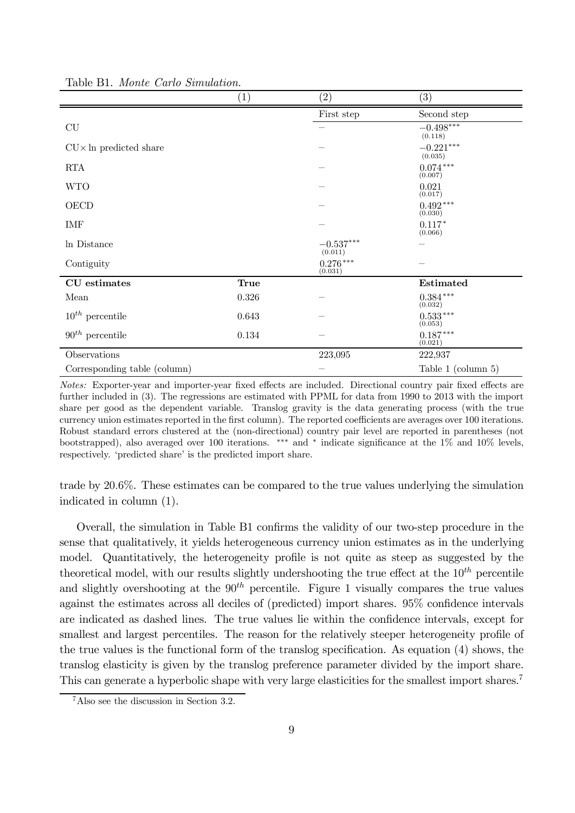|                                | $\left( 1\right)$ | $\left( 2\right)$                  | (3)                    |
|--------------------------------|-------------------|------------------------------------|------------------------|
|                                |                   | First step                         | Second step            |
| CU                             |                   |                                    | $-0.498***$<br>(0.118) |
| $CU \times In$ predicted share |                   |                                    | $-0.221***$<br>(0.035) |
| <b>RTA</b>                     |                   |                                    | $0.074***$<br>(0.007)  |
| <b>WTO</b>                     |                   |                                    | 0.021<br>(0.017)       |
| OECD                           |                   |                                    | $0.492***$<br>(0.030)  |
| IMF                            |                   |                                    | $0.117*$<br>(0.066)    |
| In Distance                    |                   | $-0.537^{\ast\ast\ast}$<br>(0.011) |                        |
| Contiguity                     |                   | $0.276***$<br>(0.031)              |                        |
| CU estimates                   | <b>True</b>       |                                    | Estimated              |
| Mean                           | $0.326\,$         |                                    | $0.384***$<br>(0.032)  |
| $10^{th}$ percentile           | 0.643             |                                    | $0.533***$<br>(0.053)  |
| $90th$ percentile              | 0.134             |                                    | $0.187***$<br>(0.021)  |
| Observations                   |                   | 223,095                            | 222,937                |
| Corresponding table (column)   |                   |                                    | Table 1 (column 5)     |

Table B1. *Monte Carlo Simulation.*

*Notes:* Exporter-year and importer-year fixed effects are included. Directional country pair fixed effects are further included in (3). The regressions are estimated with PPML for data from 1990 to 2013 with the import share per good as the dependent variable. Translog gravity is the data generating process (with the true currency union estimates reported in the first column). The reported coefficients are averages over 100 iterations. Robust standard errors clustered at the (non-directional) country pair level are reported in parentheses (not bootstrapped), also averaged over 100 iterations. \*\*\* and \* indicate significance at the 1\% and 10\% levels, respectively. 'predicted share' is the predicted import share.

trade by 20.6%. These estimates can be compared to the true values underlying the simulation indicated in column (1).

Overall, the simulation in Table B1 confirms the validity of our two-step procedure in the sense that qualitatively, it yields heterogeneous currency union estimates as in the underlying model. Quantitatively, the heterogeneity profile is not quite as steep as suggested by the theoretical model, with our results slightly undershooting the true effect at the  $10^{th}$  percentile and slightly overshooting at the  $90<sup>th</sup>$  percentile. Figure 1 visually compares the true values against the estimates across all deciles of (predicted) import shares.  $95\%$  confidence intervals are indicated as dashed lines. The true values lie within the confidence intervals, except for smallest and largest percentiles. The reason for the relatively steeper heterogeneity profile of the true values is the functional form of the translog specification. As equation  $(4)$  shows, the translog elasticity is given by the translog preference parameter divided by the import share. This can generate a hyperbolic shape with very large elasticities for the smallest import shares.<sup>7</sup>

<sup>7</sup>Also see the discussion in Section 3.2.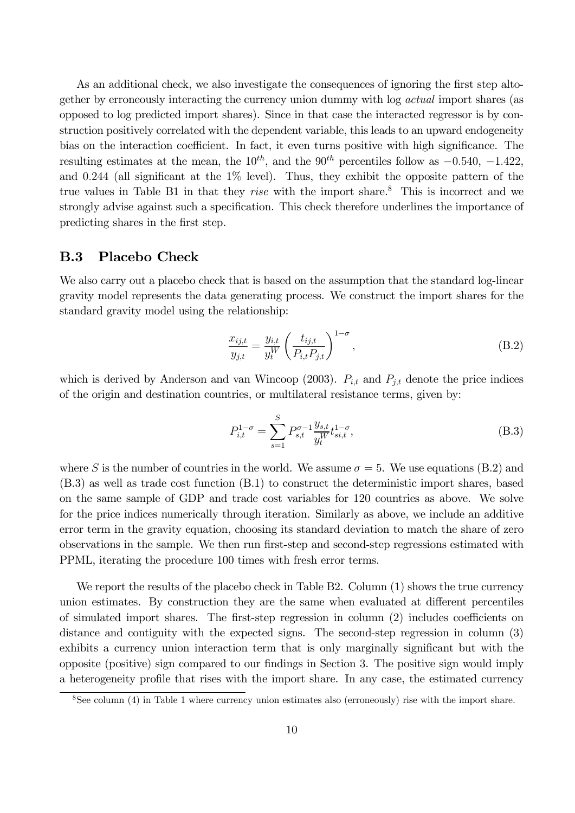As an additional check, we also investigate the consequences of ignoring the first step altogether by erroneously interacting the currency union dummy with log *actual* import shares (as opposed to log predicted import shares). Since in that case the interacted regressor is by construction positively correlated with the dependent variable, this leads to an upward endogeneity bias on the interaction coefficient. In fact, it even turns positive with high significance. The resulting estimates at the mean, the  $10^{th}$ , and the  $90^{th}$  percentiles follow as  $-0.540, -1.422$ , and 0.244 (all significant at the  $1\%$  level). Thus, they exhibit the opposite pattern of the true values in Table B1 in that they *rise* with the import share.<sup>8</sup> This is incorrect and we strongly advise against such a specification. This check therefore underlines the importance of predicting shares in the first step.

#### B.3 Placebo Check

We also carry out a placebo check that is based on the assumption that the standard log-linear gravity model represents the data generating process. We construct the import shares for the standard gravity model using the relationship:

$$
\frac{x_{ij,t}}{y_{j,t}} = \frac{y_{i,t}}{y_t^W} \left(\frac{t_{ij,t}}{P_{i,t}P_{j,t}}\right)^{1-\sigma},
$$
\n(B.2)

which is derived by Anderson and van Wincoop (2003).  $P_{i,t}$  and  $P_{j,t}$  denote the price indices of the origin and destination countries, or multilateral resistance terms, given by:

$$
P_{i,t}^{1-\sigma} = \sum_{s=1}^{S} P_{s,t}^{\sigma-1} \frac{y_{s,t}}{y_t^W} t_{si,t}^{1-\sigma},
$$
\n(B.3)

where S is the number of countries in the world. We assume  $\sigma = 5$ . We use equations (B.2) and (B.3) as well as trade cost function (B.1) to construct the deterministic import shares, based on the same sample of GDP and trade cost variables for 120 countries as above. We solve for the price indices numerically through iteration. Similarly as above, we include an additive error term in the gravity equation, choosing its standard deviation to match the share of zero observations in the sample. We then run first-step and second-step regressions estimated with PPML, iterating the procedure 100 times with fresh error terms.

We report the results of the placebo check in Table B2. Column (1) shows the true currency union estimates. By construction they are the same when evaluated at different percentiles of simulated import shares. The first-step regression in column  $(2)$  includes coefficients on distance and contiguity with the expected signs. The second-step regression in column (3) exhibits a currency union interaction term that is only marginally significant but with the opposite (positive) sign compared to our findings in Section 3. The positive sign would imply a heterogeneity profile that rises with the import share. In any case, the estimated currency

<sup>8</sup>See column (4) in Table 1 where currency union estimates also (erroneously) rise with the import share.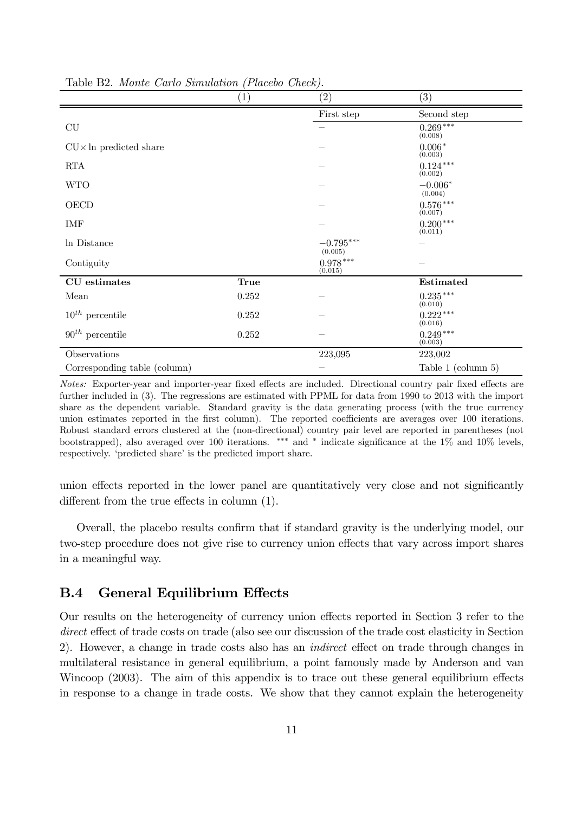|                                | (1)       | (2)                    | (3)                   |
|--------------------------------|-----------|------------------------|-----------------------|
|                                |           | First step             | Second step           |
| CU                             |           |                        | $0.269***$<br>(0.008) |
| $CU \times In$ predicted share |           |                        | $0.006*$<br>(0.003)   |
| <b>RTA</b>                     |           |                        | $0.124***$<br>(0.002) |
| <b>WTO</b>                     |           |                        | $-0.006*$<br>(0.004)  |
| OECD                           |           |                        | $0.576***$<br>(0.007) |
| IMF                            |           |                        | $0.200***$<br>(0.011) |
| In Distance                    |           | $-0.795***$<br>(0.005) |                       |
| Contiguity                     |           | $0.978***$<br>(0.015)  |                       |
| CU estimates                   | True      |                        | Estimated             |
| Mean                           | $0.252\,$ |                        | $0.235***$<br>(0.010) |
| $10^{th}$ percentile           | 0.252     |                        | $0.222***$<br>(0.016) |
| $90^{th}$ percentile           | $0.252\,$ |                        | $0.249***$<br>(0.003) |
| Observations                   |           | 223,095                | 223,002               |
| Corresponding table (column)   |           |                        | Table 1 (column 5)    |

Table B2. *Monte Carlo Simulation (Placebo Check).*

*Notes:* Exporter-year and importer-year fixed effects are included. Directional country pair fixed effects are further included in (3). The regressions are estimated with PPML for data from 1990 to 2013 with the import share as the dependent variable. Standard gravity is the data generating process (with the true currency union estimates reported in the first column). The reported coefficients are averages over 100 iterations. Robust standard errors clustered at the (non-directional) country pair level are reported in parentheses (not bootstrapped), also averaged over 100 iterations. \*\*\* and \* indicate significance at the 1\% and 10\% levels, respectively. 'predicted share' is the predicted import share.

union effects reported in the lower panel are quantitatively very close and not significantly different from the true effects in column  $(1)$ .

Overall, the placebo results confirm that if standard gravity is the underlying model, our two-step procedure does not give rise to currency union effects that vary across import shares in a meaningful way.

### **B.4** General Equilibrium Effects

Our results on the heterogeneity of currency union effects reported in Section 3 refer to the *direct* effect of trade costs on trade (also see our discussion of the trade cost elasticity in Section 2). However, a change in trade costs also has an *indirect* effect on trade through changes in multilateral resistance in general equilibrium, a point famously made by Anderson and van Wincoop  $(2003)$ . The aim of this appendix is to trace out these general equilibrium effects in response to a change in trade costs. We show that they cannot explain the heterogeneity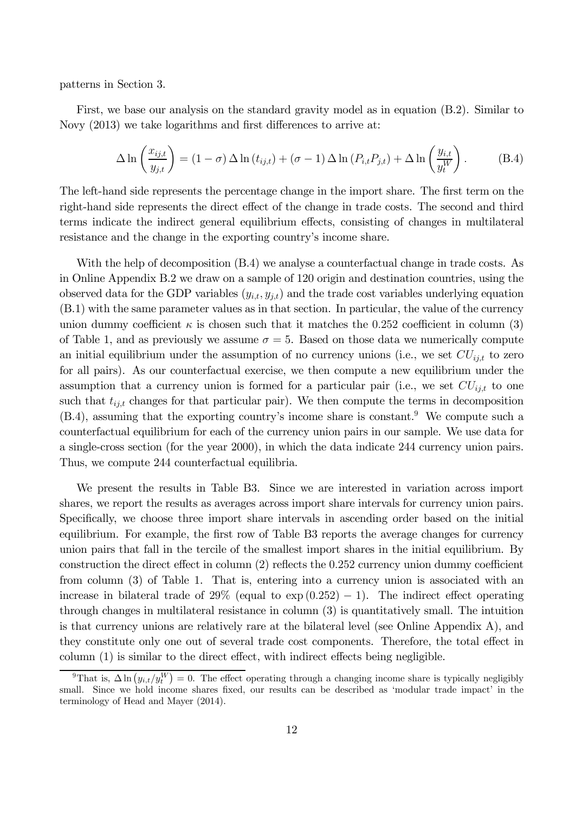patterns in Section 3.

First, we base our analysis on the standard gravity model as in equation (B.2). Similar to Novy  $(2013)$  we take logarithms and first differences to arrive at:

$$
\Delta \ln \left( \frac{x_{ij,t}}{y_{j,t}} \right) = (1 - \sigma) \Delta \ln (t_{ij,t}) + (\sigma - 1) \Delta \ln (P_{i,t} P_{j,t}) + \Delta \ln \left( \frac{y_{i,t}}{y_t^W} \right). \tag{B.4}
$$

The left-hand side represents the percentage change in the import share. The first term on the right-hand side represents the direct effect of the change in trade costs. The second and third terms indicate the indirect general equilibrium effects, consisting of changes in multilateral resistance and the change in the exporting country's income share.

With the help of decomposition  $(B.4)$  we analyse a counterfactual change in trade costs. As in Online Appendix B.2 we draw on a sample of 120 origin and destination countries, using the observed data for the GDP variables  $(y_{i,t}, y_{j,t})$  and the trade cost variables underlying equation (B.1) with the same parameter values as in that section. In particular, the value of the currency union dummy coefficient  $\kappa$  is chosen such that it matches the 0.252 coefficient in column (3) of Table 1, and as previously we assume  $\sigma = 5$ . Based on those data we numerically compute an initial equilibrium under the assumption of no currency unions (i.e., we set  $CU_{i,t}$  to zero for all pairs). As our counterfactual exercise, we then compute a new equilibrium under the assumption that a currency union is formed for a particular pair (i.e., we set  $CU_{i,i}$  to one such that  $t_{i,i,t}$  changes for that particular pair). We then compute the terms in decomposition  $(B.4)$ , assuming that the exporting country's income share is constant.<sup>9</sup> We compute such a counterfactual equilibrium for each of the currency union pairs in our sample. We use data for a single-cross section (for the year 2000), in which the data indicate 244 currency union pairs. Thus, we compute 244 counterfactual equilibria.

We present the results in Table B3. Since we are interested in variation across import shares, we report the results as averages across import share intervals for currency union pairs. Specifically, we choose three import share intervals in ascending order based on the initial equilibrium. For example, the first row of Table B3 reports the average changes for currency union pairs that fall in the tercile of the smallest import shares in the initial equilibrium. By construction the direct effect in column  $(2)$  reflects the 0.252 currency union dummy coefficient from column (3) of Table 1. That is, entering into a currency union is associated with an increase in bilateral trade of 29% (equal to  $\exp(0.252) - 1$ ). The indirect effect operating through changes in multilateral resistance in column (3) is quantitatively small. The intuition is that currency unions are relatively rare at the bilateral level (see Online Appendix A), and they constitute only one out of several trade cost components. Therefore, the total effect in  $\text{column (1)}$  is similar to the direct effect, with indirect effects being negligible.

<sup>&</sup>lt;sup>9</sup>That is,  $\Delta \ln (y_{i,t}/y_t^W) = 0$ . The effect operating through a changing income share is typically negligibly small. Since we hold income shares fixed, our results can be described as 'modular trade impact' in the terminology of Head and Mayer (2014).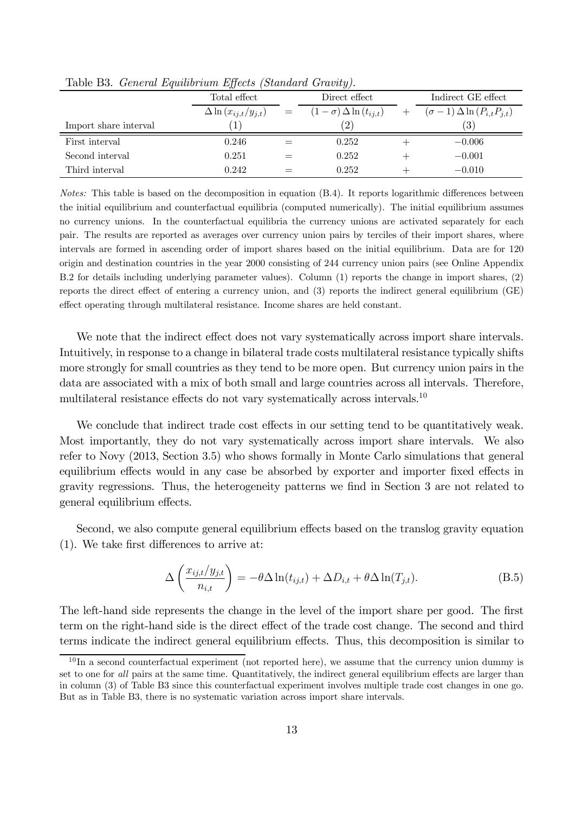|                       | Total effect                    |     | Direct effect                    | Indirect GE effect                          |
|-----------------------|---------------------------------|-----|----------------------------------|---------------------------------------------|
|                       | $\Delta \ln (x_{ij,t}/y_{j,t})$ | $=$ | $(1-\sigma)\Delta\ln(t_{i,i,t})$ | $(\sigma - 1) \Delta \ln (P_{i,t} P_{j,t})$ |
| Import share interval | 1                               |     | $\left( 2\right)$                | (3)                                         |
| First interval        | 0.246                           |     | 0.252                            | $-0.006$                                    |
| Second interval       | 0.251                           |     | 0.252                            | $-0.001$                                    |
| Third interval        | 0.242                           |     | 0.252                            | $-0.010$                                    |

Table B3. *General Equilibrium Effects (Standard Gravity).* 

*Notes:* This table is based on the decomposition in equation (B.4). It reports logarithmic differences between the initial equilibrium and counterfactual equilibria (computed numerically). The initial equilibrium assumes no currency unions. In the counterfactual equilibria the currency unions are activated separately for each pair. The results are reported as averages over currency union pairs by terciles of their import shares, where intervals are formed in ascending order of import shares based on the initial equilibrium. Data are for 120 origin and destination countries in the year 2000 consisting of 244 currency union pairs (see Online Appendix B.2 for details including underlying parameter values). Column (1) reports the change in import shares, (2) reports the direct effect of entering a currency union, and  $(3)$  reports the indirect general equilibrium  $(GE)$ effect operating through multilateral resistance. Income shares are held constant.

We note that the indirect effect does not vary systematically across import share intervals. Intuitively, in response to a change in bilateral trade costs multilateral resistance typically shifts more strongly for small countries as they tend to be more open. But currency union pairs in the data are associated with a mix of both small and large countries across all intervals. Therefore, multilateral resistance effects do not vary systematically across intervals.<sup>10</sup>

We conclude that indirect trade cost effects in our setting tend to be quantitatively weak. Most importantly, they do not vary systematically across import share intervals. We also refer to Novy (2013, Section 3.5) who shows formally in Monte Carlo simulations that general equilibrium effects would in any case be absorbed by exporter and importer fixed effects in gravity regressions. Thus, the heterogeneity patterns we find in Section 3 are not related to general equilibrium effects.

Second, we also compute general equilibrium effects based on the translog gravity equation  $(1)$ . We take first differences to arrive at:

$$
\Delta \left( \frac{x_{ij,t}/y_{j,t}}{n_{i,t}} \right) = -\theta \Delta \ln(t_{ij,t}) + \Delta D_{i,t} + \theta \Delta \ln(T_{j,t}). \tag{B.5}
$$

The left-hand side represents the change in the level of the import share per good. The first term on the right-hand side is the direct effect of the trade cost change. The second and third terms indicate the indirect general equilibrium effects. Thus, this decomposition is similar to

 $10$ In a second counterfactual experiment (not reported here), we assume that the currency union dummy is set to one for *all* pairs at the same time. Quantitatively, the indirect general equilibrium effects are larger than in column (3) of Table B3 since this counterfactual experiment involves multiple trade cost changes in one go. But as in Table B3, there is no systematic variation across import share intervals.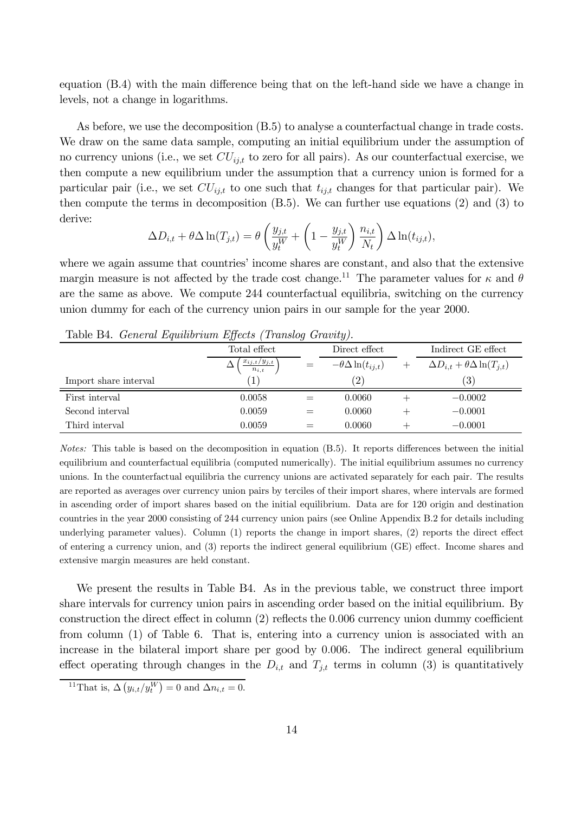equation  $(B.4)$  with the main difference being that on the left-hand side we have a change in levels, not a change in logarithms.

As before, we use the decomposition (B.5) to analyse a counterfactual change in trade costs. We draw on the same data sample, computing an initial equilibrium under the assumption of no currency unions (i.e., we set  $CU_{ij,t}$  to zero for all pairs). As our counterfactual exercise, we then compute a new equilibrium under the assumption that a currency union is formed for a particular pair (i.e., we set  $CU_{i,t}$  to one such that  $t_{i,t}$  changes for that particular pair). We then compute the terms in decomposition (B.5). We can further use equations (2) and (3) to derive:

$$
\Delta D_{i,t} + \theta \Delta \ln(T_{j,t}) = \theta \left( \frac{y_{j,t}}{y_t^W} + \left( 1 - \frac{y_{j,t}}{y_t^W} \right) \frac{n_{i,t}}{N_t} \right) \Delta \ln(t_{ij,t}),
$$

where we again assume that countries' income shares are constant, and also that the extensive margin measure is not affected by the trade cost change.<sup>11</sup> The parameter values for  $\kappa$  and  $\theta$ are the same as above. We compute 244 counterfactual equilibria, switching on the currency union dummy for each of the currency union pairs in our sample for the year 2000.

| $\pm$ , wroce of $\pm$ . We every f |                                 |     |                                |  |                                               |  |  |
|-------------------------------------|---------------------------------|-----|--------------------------------|--|-----------------------------------------------|--|--|
|                                     | Total effect                    |     | Direct effect                  |  | Indirect GE effect                            |  |  |
|                                     | $x_{ij,t}/y_{j,t}$<br>$n_{i,t}$ | $=$ | $-\theta \Delta \ln(t_{ij,t})$ |  | $\Delta D_{i,t} + \theta \Delta \ln(T_{i,t})$ |  |  |
| Import share interval               | T                               |     | $\left( 2\right)$              |  | (3)                                           |  |  |
| First interval                      | 0.0058                          |     | 0.0060                         |  | $-0.0002$                                     |  |  |
| Second interval                     | 0.0059                          |     | 0.0060                         |  | $-0.0001$                                     |  |  |
| Third interval                      | 0.0059                          |     | 0.0060                         |  | $-0.0001$                                     |  |  |

Table B4. *General Equilibrium Effects (Translog Gravity).* 

*Notes:* This table is based on the decomposition in equation (B.5). It reports differences between the initial equilibrium and counterfactual equilibria (computed numerically). The initial equilibrium assumes no currency unions. In the counterfactual equilibria the currency unions are activated separately for each pair. The results are reported as averages over currency union pairs by terciles of their import shares, where intervals are formed in ascending order of import shares based on the initial equilibrium. Data are for 120 origin and destination countries in the year 2000 consisting of 244 currency union pairs (see Online Appendix B.2 for details including underlying parameter values). Column  $(1)$  reports the change in import shares,  $(2)$  reports the direct effect of entering a currency union, and  $(3)$  reports the indirect general equilibrium  $(GE)$  effect. Income shares and extensive margin measures are held constant.

We present the results in Table B4. As in the previous table, we construct three import share intervals for currency union pairs in ascending order based on the initial equilibrium. By construction the direct effect in column  $(2)$  reflects the 0.006 currency union dummy coefficient from column (1) of Table 6. That is, entering into a currency union is associated with an increase in the bilateral import share per good by 0.006. The indirect general equilibrium effect operating through changes in the  $D_{i,t}$  and  $T_{j,t}$  terms in column (3) is quantitatively

<sup>&</sup>lt;sup>11</sup>That is,  $\Delta(y_{i,t}/y_t^W) = 0$  and  $\Delta n_{i,t} = 0$ .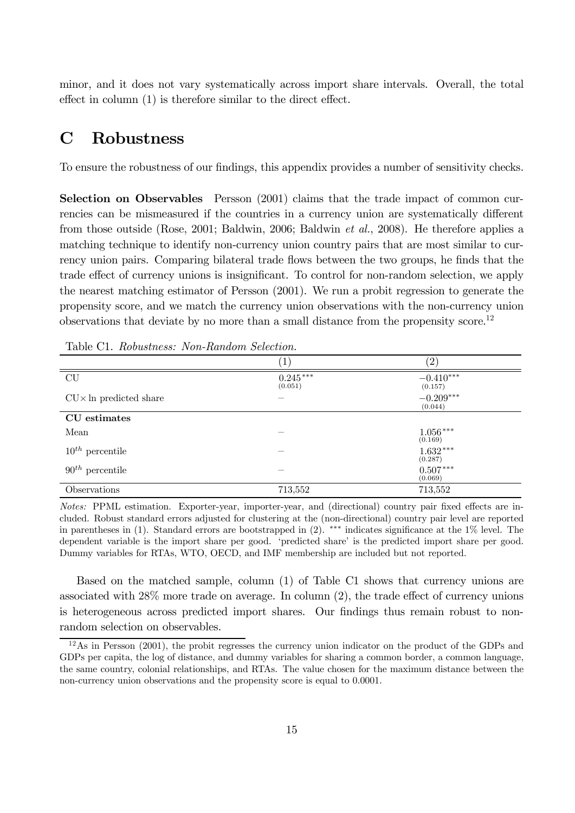minor, and it does not vary systematically across import share intervals. Overall, the total effect in column  $(1)$  is therefore similar to the direct effect.

## C Robustness

To ensure the robustness of our findings, this appendix provides a number of sensitivity checks.

Selection on Observables Persson (2001) claims that the trade impact of common currencies can be mismeasured if the countries in a currency union are systematically different from those outside (Rose, 2001; Baldwin, 2006; Baldwin *et al.*, 2008). He therefore applies a matching technique to identify non-currency union country pairs that are most similar to currency union pairs. Comparing bilateral trade flows between the two groups, he finds that the trade effect of currency unions is insignificant. To control for non-random selection, we apply the nearest matching estimator of Persson (2001). We run a probit regression to generate the propensity score, and we match the currency union observations with the non-currency union observations that deviate by no more than a small distance from the propensity score.<sup>12</sup>

|                                | $\left(1\right)$      | $^{(2)}$               |
|--------------------------------|-----------------------|------------------------|
| $\ensuremath{\mathrm{CU}}$     | $0.245***$<br>(0.051) | $-0.410***$<br>(0.157) |
| $CU \times In$ predicted share |                       | $-0.209***$<br>(0.044) |
| CU estimates                   |                       |                        |
| Mean                           |                       | $1.056***$<br>(0.169)  |
| $10^{th}$ percentile           |                       | $1.632***$<br>(0.287)  |
| $90^{th}$ percentile           |                       | $0.507***$<br>(0.069)  |
| Observations                   | 713,552               | 713,552                |

Table C1. *Robustness: Non-Random Selection.*

*Notes:* PPML estimation. Exporter-year, importer-year, and (directional) country pair fixed effects are included. Robust standard errors adjusted for clustering at the (non-directional) country pair level are reported in parentheses in (1). Standard errors are bootstrapped in  $(2)$ . \*\*\* indicates significance at the 1% level. The dependent variable is the import share per good. 'predicted share' is the predicted import share per good. Dummy variables for RTAs, WTO, OECD, and IMF membership are included but not reported.

Based on the matched sample, column (1) of Table C1 shows that currency unions are associated with  $28\%$  more trade on average. In column  $(2)$ , the trade effect of currency unions is heterogeneous across predicted import shares. Our findings thus remain robust to nonrandom selection on observables.

<sup>12</sup>As in Persson (2001), the probit regresses the currency union indicator on the product of the GDPs and GDPs per capita, the log of distance, and dummy variables for sharing a common border, a common language, the same country, colonial relationships, and RTAs. The value chosen for the maximum distance between the non-currency union observations and the propensity score is equal to 0.0001.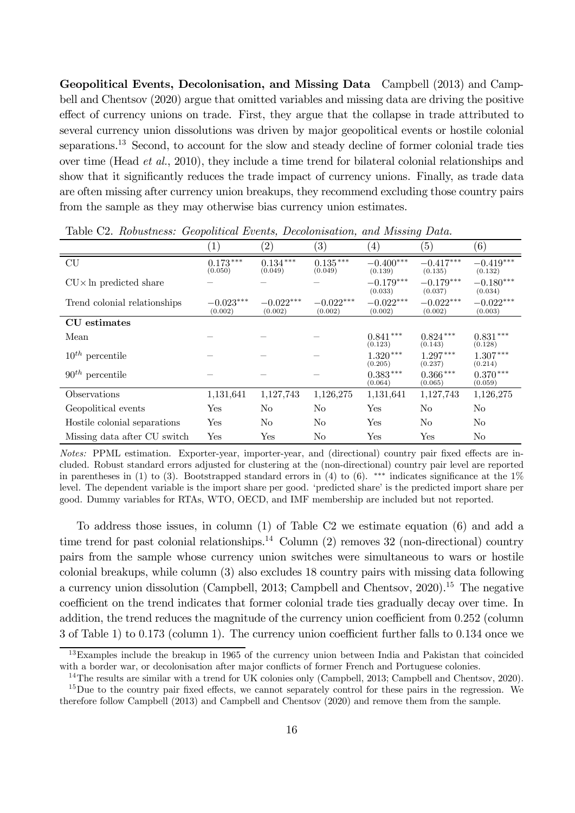Geopolitical Events, Decolonisation, and Missing Data Campbell (2013) and Campbell and Chentsov (2020) argue that omitted variables and missing data are driving the positive effect of currency unions on trade. First, they argue that the collapse in trade attributed to several currency union dissolutions was driven by major geopolitical events or hostile colonial separations.<sup>13</sup> Second, to account for the slow and steady decline of former colonial trade ties over time (Head *et al.*, 2010), they include a time trend for bilateral colonial relationships and show that it significantly reduces the trade impact of currency unions. Finally, as trade data are often missing after currency union breakups, they recommend excluding those country pairs from the sample as they may otherwise bias currency union estimates.

|                                | $\overline{ }$         |                        |                        |                        | ັ                      |                        |
|--------------------------------|------------------------|------------------------|------------------------|------------------------|------------------------|------------------------|
|                                | $\mathbf{1}$           | (2)                    | $\left( 3\right)$      | $\left(4\right)$       | (5)                    | $\left( 6\right)$      |
| CU                             | $0.173***$<br>(0.050)  | $0.134***$<br>(0.049)  | $0.135***$<br>(0.049)  | $-0.400***$<br>(0.139) | $-0.417***$<br>(0.135) | $-0.419***$<br>(0.132) |
| $CU \times In$ predicted share |                        |                        |                        | $-0.179***$<br>(0.033) | $-0.179***$<br>(0.037) | $-0.180***$<br>(0.034) |
| Trend colonial relationships   | $-0.023***$<br>(0.002) | $-0.022***$<br>(0.002) | $-0.022***$<br>(0.002) | $-0.022***$<br>(0.002) | $-0.022***$<br>(0.002) | $-0.022***$<br>(0.003) |
| CU estimates                   |                        |                        |                        |                        |                        |                        |
| Mean                           |                        |                        |                        | $0.841***$<br>(0.123)  | $0.824***$<br>(0.143)  | $0.831***$<br>(0.128)  |
| $10^{th}$ percentile           |                        |                        |                        | $1.320***$<br>(0.205)  | $1.297***$<br>(0.237)  | $1.307***$<br>(0.214)  |
| $90^{th}$ percentile           |                        |                        |                        | $0.383***$<br>(0.064)  | $0.366***$<br>(0.065)  | $0.370***$<br>(0.059)  |
| Observations                   | 1,131,641              | 1,127,743              | 1,126,275              | 1,131,641              | 1,127,743              | 1,126,275              |
| Geopolitical events            | Yes                    | N <sub>o</sub>         | N <sub>o</sub>         | Yes                    | N <sub>o</sub>         | No                     |
| Hostile colonial separations   | Yes                    | N <sub>o</sub>         | N <sub>o</sub>         | Yes                    | N <sub>o</sub>         | No                     |
| Missing data after CU switch   | Yes                    | Yes                    | No                     | Yes                    | Yes                    | No                     |

Table C2. *Robustness: Geopolitical Events, Decolonisation, and Missing Data.*

*Notes:* PPML estimation. Exporter-year, importer-year, and (directional) country pair fixed effects are included. Robust standard errors adjusted for clustering at the (non-directional) country pair level are reported in parentheses in (1) to (3). Bootstrapped standard errors in (4) to (6). \*\*\* indicates significance at the  $1\%$ level. The dependent variable is the import share per good. 'predicted share' is the predicted import share per good. Dummy variables for RTAs, WTO, OECD, and IMF membership are included but not reported.

To address those issues, in column (1) of Table C2 we estimate equation (6) and add a time trend for past colonial relationships.<sup>14</sup> Column  $(2)$  removes 32 (non-directional) country pairs from the sample whose currency union switches were simultaneous to wars or hostile colonial breakups, while column (3) also excludes 18 country pairs with missing data following a currency union dissolution (Campbell, 2013; Campbell and Chentsov,  $2020$ ).<sup>15</sup> The negative coefficient on the trend indicates that former colonial trade ties gradually decay over time. In addition, the trend reduces the magnitude of the currency union coefficient from  $0.252$  (column  $3$  of Table 1) to 0.173 (column 1). The currency union coefficient further falls to 0.134 once we

 $13$ Examples include the breakup in 1965 of the currency union between India and Pakistan that coincided with a border war, or decolonisation after major conflicts of former French and Portuguese colonies.

<sup>&</sup>lt;sup>14</sup>The results are similar with a trend for UK colonies only (Campbell, 2013; Campbell and Chentsov, 2020).

 $15$ Due to the country pair fixed effects, we cannot separately control for these pairs in the regression. We therefore follow Campbell (2013) and Campbell and Chentsov (2020) and remove them from the sample.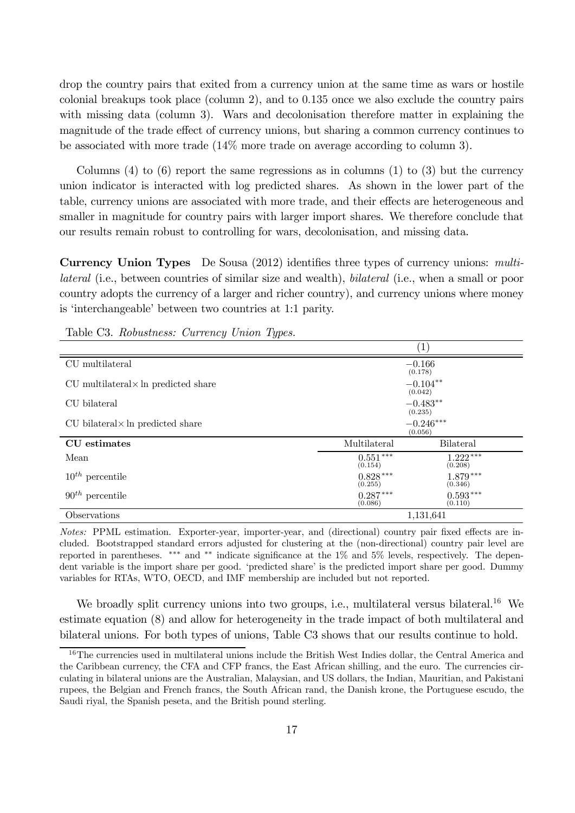drop the country pairs that exited from a currency union at the same time as wars or hostile colonial breakups took place (column 2), and to 0.135 once we also exclude the country pairs with missing data (column 3). Wars and decolonisation therefore matter in explaining the magnitude of the trade effect of currency unions, but sharing a common currency continues to be associated with more trade (14% more trade on average according to column 3).

Columns  $(4)$  to  $(6)$  report the same regressions as in columns  $(1)$  to  $(3)$  but the currency union indicator is interacted with log predicted shares. As shown in the lower part of the table, currency unions are associated with more trade, and their effects are heterogeneous and smaller in magnitude for country pairs with larger import shares. We therefore conclude that our results remain robust to controlling for wars, decolonisation, and missing data.

**Currency Union Types** De Sousa (2012) identifies three types of currency unions: *multilateral* (i.e., between countries of similar size and wealth), *bilateral* (i.e., when a small or poor country adopts the currency of a larger and richer country), and currency unions where money is 'interchangeable' between two countries at 1:1 parity.

|                                               |                       | (1)                    |
|-----------------------------------------------|-----------------------|------------------------|
| CU multilateral                               |                       | $-0.166$<br>(0.178)    |
| $CU$ multilateral $\times$ ln predicted share |                       | $-0.104**$<br>(0.042)  |
| CU bilateral                                  |                       | $-0.483**$<br>(0.235)  |
| $CU$ bilateral $\times$ ln predicted share    |                       | $-0.246***$<br>(0.056) |
| CU estimates                                  | Multilateral          | <b>Bilateral</b>       |
| Mean                                          | $0.551***$<br>(0.154) | $1.222***$<br>(0.208)  |
| $10^{th}$ percentile                          | $0.828***$<br>(0.255) | $1.879***$<br>(0.346)  |
| $90^{th}$ percentile                          | $0.287***$<br>(0.086) | $0.593***$<br>(0.110)  |
| Observations                                  |                       | 1,131,641              |

Table C3. *Robustness: Currency Union Types.*

*Notes:* PPML estimation. Exporter-year, importer-year, and (directional) country pair fixed effects are included. Bootstrapped standard errors adjusted for clustering at the (non-directional) country pair level are reported in parentheses. \*\*\* and \*\* indicate significance at the 1% and 5% levels, respectively. The dependent variable is the import share per good. 'predicted share' is the predicted import share per good. Dummy variables for RTAs, WTO, OECD, and IMF membership are included but not reported.

We broadly split currency unions into two groups, i.e., multilateral versus bilateral.<sup>16</sup> We estimate equation (8) and allow for heterogeneity in the trade impact of both multilateral and bilateral unions. For both types of unions, Table C3 shows that our results continue to hold.

<sup>&</sup>lt;sup>16</sup>The currencies used in multilateral unions include the British West Indies dollar, the Central America and the Caribbean currency, the CFA and CFP francs, the East African shilling, and the euro. The currencies circulating in bilateral unions are the Australian, Malaysian, and US dollars, the Indian, Mauritian, and Pakistani rupees, the Belgian and French francs, the South African rand, the Danish krone, the Portuguese escudo, the Saudi riyal, the Spanish peseta, and the British pound sterling.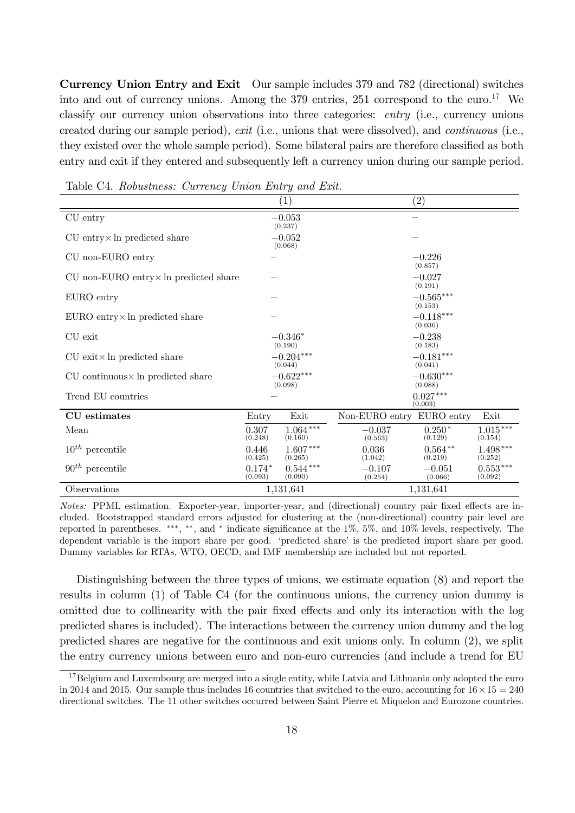Currency Union Entry and Exit Our sample includes 379 and 782 (directional) switches into and out of currency unions. Among the 379 entries, 251 correspond to the euro.<sup>17</sup> We classify our currency union observations into three categories: *entry* (i.e., currency unions created during our sample period), *exit* (i.e., unions that were dissolved), and *continuous* (i.e., they existed over the whole sample period). Some bilateral pairs are therefore classified as both entry and exit if they entered and subsequently left a currency union during our sample period.

|                                                 |                        | $\left( 1\right)$     |                           | $\left( 2\right)$      |                       |  |
|-------------------------------------------------|------------------------|-----------------------|---------------------------|------------------------|-----------------------|--|
| CU entry                                        |                        | $-0.053$<br>(0.237)   |                           |                        |                       |  |
| $CU$ entry $\times$ ln predicted share          |                        | $-0.052$<br>(0.068)   |                           |                        |                       |  |
| CU non-EURO entry                               |                        |                       |                           | $-0.226$<br>(0.857)    |                       |  |
| $CU$ non-EURO entry $\times$ ln predicted share |                        |                       |                           | $-0.027$<br>(0.191)    |                       |  |
| EURO entry                                      |                        |                       |                           | $-0.565***$<br>(0.153) |                       |  |
| EURO entry × ln predicted share                 |                        |                       |                           | $-0.118***$<br>(0.036) |                       |  |
| CU exit                                         |                        | $-0.346*$<br>(0.190)  |                           | $-0.238$<br>(0.183)    |                       |  |
| $CU$ exit $\times$ ln predicted share           | $-0.204***$<br>(0.044) |                       |                           | $-0.181***$<br>(0.041) |                       |  |
| $CU$ continuous $\times$ ln predicted share     | $-0.622***$<br>(0.098) |                       |                           | $-0.630***$<br>(0.088) |                       |  |
| Trend EU countries                              |                        |                       |                           | $0.027***$<br>(0.003)  |                       |  |
| CU estimates                                    | Entry                  | Exit                  | Non-EURO entry EURO entry |                        | Exit                  |  |
| Mean                                            | 0.307<br>(0.248)       | $1.064***$<br>(0.160) | $-0.037$<br>(0.563)       | $0.250*$<br>(0.129)    | $1.015***$<br>(0.154) |  |
| $10^{th}$ percentile                            | 0.446<br>(0.425)       | $1.607***$<br>(0.265) | 0.036<br>(1.042)          | $0.564**$<br>(0.219)   | $1.498***$<br>(0.252) |  |
| $90^{th}$ percentile                            | $0.174*$<br>(0.093)    | $0.544***$<br>(0.090) | $-0.107$<br>(0.254)       | $-0.051$<br>(0.066)    | $0.553***$<br>(0.092) |  |
| Observations                                    |                        | 1,131,641             |                           | 1,131,641              |                       |  |

Table C4. *Robustness: Currency Union Entry and Exit.*

*Notes:* PPML estimation. Exporter-year, importer-year, and (directional) country pair fixed effects are included. Bootstrapped standard errors adjusted for clustering at the (non-directional) country pair level are reported in parentheses. \*\*\*, \*\*, and \* indicate significance at the  $1\%$ ,  $5\%$ , and  $10\%$  levels, respectively. The dependent variable is the import share per good. 'predicted share' is the predicted import share per good. Dummy variables for RTAs, WTO, OECD, and IMF membership are included but not reported.

Distinguishing between the three types of unions, we estimate equation (8) and report the results in column (1) of Table C4 (for the continuous unions, the currency union dummy is omitted due to collinearity with the pair fixed effects and only its interaction with the log predicted shares is included). The interactions between the currency union dummy and the log predicted shares are negative for the continuous and exit unions only. In column (2), we split the entry currency unions between euro and non-euro currencies (and include a trend for EU

<sup>&</sup>lt;sup>17</sup>Belgium and Luxembourg are merged into a single entity, while Latvia and Lithuania only adopted the euro in 2014 and 2015. Our sample thus includes 16 countries that switched to the euro, accounting for  $16 \times 15 = 240$ directional switches. The 11 other switches occurred between Saint Pierre et Miquelon and Eurozone countries.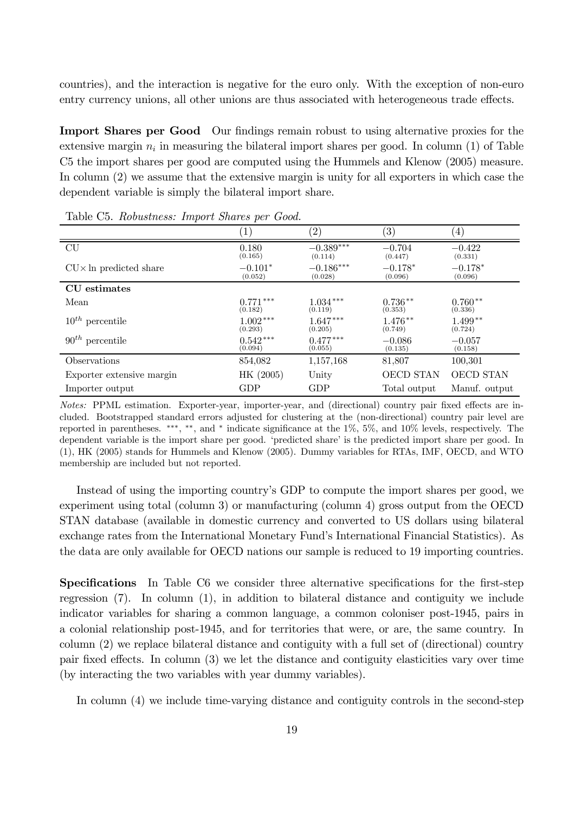countries), and the interaction is negative for the euro only. With the exception of non-euro entry currency unions, all other unions are thus associated with heterogeneous trade effects.

**Import Shares per Good** Our findings remain robust to using alternative proxies for the extensive margin  $n_i$  in measuring the bilateral import shares per good. In column (1) of Table C5 the import shares per good are computed using the Hummels and Klenow (2005) measure. In column (2) we assume that the extensive margin is unity for all exporters in which case the dependent variable is simply the bilateral import share.

|                                | $\left  \right $ | $^{\prime}2)$ | $^{\prime}3)$ | $\left(4\right)$ |
|--------------------------------|------------------|---------------|---------------|------------------|
| CU                             | 0.180            | $-0.389***$   | $-0.704$      | $-0.422$         |
|                                | (0.165)          | (0.114)       | (0.447)       | (0.331)          |
| $CU \times In$ predicted share | $-0.101*$        | $-0.186***$   | $-0.178*$     | $-0.178*$        |
|                                | (0.052)          | (0.028)       | (0.096)       | (0.096)          |
| CU estimates                   |                  |               |               |                  |
| Mean                           | $0.771***$       | $1.034***$    | $0.736**$     | $0.760**$        |
|                                | (0.182)          | (0.119)       | (0.353)       | (0.336)          |
| $10^{th}$ percentile           | $1.002***$       | $1.647***$    | $1.476**$     | $1.499**$        |
|                                | (0.293)          | (0.205)       | (0.749)       | (0.724)          |
| $90^{th}$ percentile           | $0.542***$       | $0.477***$    | $-0.086$      | $-0.057$         |
|                                | (0.094)          | (0.055)       | (0.135)       | (0.158)          |
| Observations                   | 854,082          | 1,157,168     | 81,807        | 100,301          |
| Exporter extensive margin      | HK (2005)        | Unity         | OECD STAN     | <b>OECD STAN</b> |
| Importer output                | GDP              | GDP           | Total output  | Manuf. output    |

Table C5. *Robustness: Import Shares per Good.*

*Notes:* PPML estimation. Exporter-year, importer-year, and (directional) country pair fixed effects are included. Bootstrapped standard errors adjusted for clustering at the (non-directional) country pair level are reported in parentheses. \*\*\*, \*\*, and \* indicate significance at the  $1\%$ ,  $5\%$ , and  $10\%$  levels, respectively. The dependent variable is the import share per good. 'predicted share' is the predicted import share per good. In (1), HK (2005) stands for Hummels and Klenow (2005). Dummy variables for RTAs, IMF, OECD, and WTO membership are included but not reported.

Instead of using the importing country's GDP to compute the import shares per good, we experiment using total (column 3) or manufacturing (column 4) gross output from the OECD STAN database (available in domestic currency and converted to US dollars using bilateral exchange rates from the International Monetary Fund's International Financial Statistics). As the data are only available for OECD nations our sample is reduced to 19 importing countries.

Specifications In Table C6 we consider three alternative specifications for the first-step regression (7). In column (1), in addition to bilateral distance and contiguity we include indicator variables for sharing a common language, a common coloniser post-1945, pairs in a colonial relationship post-1945, and for territories that were, or are, the same country. In column (2) we replace bilateral distance and contiguity with a full set of (directional) country pair fixed effects. In column  $(3)$  we let the distance and contiguity elasticities vary over time (by interacting the two variables with year dummy variables).

In column (4) we include time-varying distance and contiguity controls in the second-step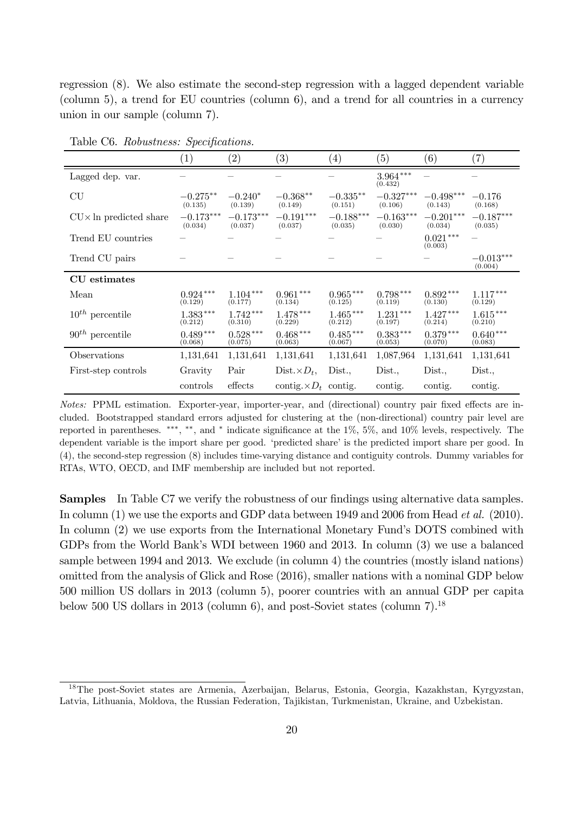regression (8). We also estimate the second-step regression with a lagged dependent variable (column 5), a trend for EU countries (column 6), and a trend for all countries in a currency union in our sample (column 7).

|                                | (1)                    | $\left( 2\right)$      | (3)                          | $\left(4\right)$       | $\left( 5\right)$      | (6)                    | $\left( 7\right)$      |
|--------------------------------|------------------------|------------------------|------------------------------|------------------------|------------------------|------------------------|------------------------|
| Lagged dep. var.               |                        |                        |                              |                        | $3.964***$<br>(0.432)  |                        |                        |
| CU                             | $-0.275***$<br>(0.135) | $-0.240*$<br>(0.139)   | $-0.368**$<br>(0.149)        | $-0.335***$<br>(0.151) | $-0.327***$<br>(0.106) | $-0.498***$<br>(0.143) | $-0.176$<br>(0.168)    |
| $CU \times In$ predicted share | $-0.173***$<br>(0.034) | $-0.173***$<br>(0.037) | $-0.191***$<br>(0.037)       | $-0.188***$<br>(0.035) | $-0.163***$<br>(0.030) | $-0.201***$<br>(0.034) | $-0.187***$<br>(0.035) |
| Trend EU countries             |                        |                        |                              |                        |                        | $0.021***$<br>(0.003)  |                        |
| Trend CU pairs                 |                        |                        |                              |                        |                        |                        | $-0.013***$<br>(0.004) |
| CU estimates                   |                        |                        |                              |                        |                        |                        |                        |
| Mean                           | $0.924***$<br>(0.129)  | $1.104***$<br>(0.177)  | $0.961***$<br>(0.134)        | $0.965***$<br>(0.125)  | $0.798***$<br>(0.119)  | $0.892***$<br>(0.130)  | $1.117***$<br>(0.129)  |
| $10^{th}$ percentile           | $1.383***$<br>(0.212)  | $1.742***$<br>(0.310)  | $1.478***$<br>(0.229)        | $1.465***$<br>(0.212)  | $1.231***$<br>(0.197)  | $1.427***$<br>(0.214)  | $1.615***$<br>(0.210)  |
| $90^{th}$ percentile           | $0.489***$<br>(0.068)  | $0.528***$<br>(0.075)  | $0.468***$<br>(0.063)        | $0.485***$<br>(0.067)  | $0.383***$<br>(0.053)  | $0.379***$<br>(0.070)  | $0.640***$<br>(0.083)  |
| Observations                   | 1,131,641              | 1,131,641              | 1,131,641                    | 1,131,641              | 1,087,964              | 1,131,641              | 1,131,641              |
| First-step controls            | Gravity                | Pair                   | $Dist. \times D_t$ ,         | Dist.                  | Dist.,                 | Dist.,                 | Dist.,                 |
|                                | controls               | effects                | contig. $\times D_t$ contig. |                        | contig.                | contig.                | contig.                |

Table C6. *Robustness: Specifications.* 

*Notes:* PPML estimation. Exporter-year, importer-year, and (directional) country pair fixed effects are included. Bootstrapped standard errors adjusted for clustering at the (non-directional) country pair level are reported in parentheses. \*\*\*, \*\*, and \* indicate significance at the  $1\%$ ,  $5\%$ , and  $10\%$  levels, respectively. The dependent variable is the import share per good. 'predicted share' is the predicted import share per good. In (4), the second-step regression (8) includes time-varying distance and contiguity controls. Dummy variables for RTAs, WTO, OECD, and IMF membership are included but not reported.

**Samples** In Table C7 we verify the robustness of our findings using alternative data samples. In column (1) we use the exports and GDP data between 1949 and 2006 from Head *et al.* (2010). In column (2) we use exports from the International Monetary Fund's DOTS combined with GDPs from the World Bank's WDI between 1960 and 2013. In column (3) we use a balanced sample between 1994 and 2013. We exclude (in column 4) the countries (mostly island nations) omitted from the analysis of Glick and Rose (2016), smaller nations with a nominal GDP below 500 million US dollars in 2013 (column 5), poorer countries with an annual GDP per capita below 500 US dollars in 2013 (column 6), and post-Soviet states (column 7).<sup>18</sup>

<sup>18</sup>The post-Soviet states are Armenia, Azerbaijan, Belarus, Estonia, Georgia, Kazakhstan, Kyrgyzstan, Latvia, Lithuania, Moldova, the Russian Federation, Tajikistan, Turkmenistan, Ukraine, and Uzbekistan.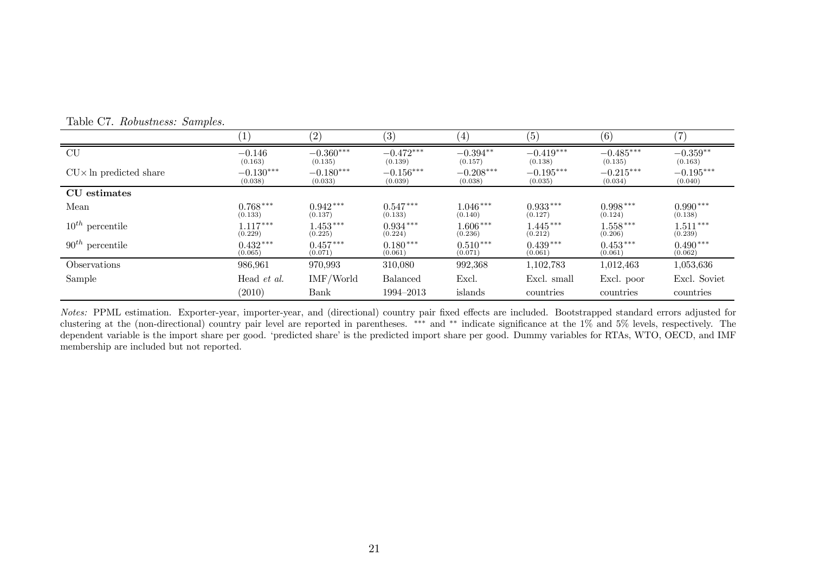|                                | $\left  \right $   | (2)         | (3)             | $\left(4\right)$ | (5)         | (6)         | $\left( 7\right)$ |
|--------------------------------|--------------------|-------------|-----------------|------------------|-------------|-------------|-------------------|
| CU                             | $-0.146$           | $-0.360***$ | $-0.472***$     | $-0.394**$       | $-0.419***$ | $-0.485***$ | $-0.359**$        |
|                                | (0.163)            | (0.135)     | (0.139)         | (0.157)          | (0.138)     | (0.135)     | (0.163)           |
| $CU \times$ In predicted share | $-0.130***$        | $-0.180***$ | $-0.156***$     | $-0.208***$      | $-0.195***$ | $-0.215***$ | $-0.195***$       |
|                                | (0.038)            | (0.033)     | (0.039)         | (0.038)          | (0.035)     | (0.034)     | (0.040)           |
| CU estimates                   |                    |             |                 |                  |             |             |                   |
| Mean                           | $0.768***$         | $0.942***$  | $0.547***$      | $1.046***$       | $0.933***$  | $0.998***$  | $0.990***$        |
|                                | (0.133)            | (0.137)     | (0.133)         | (0.140)          | (0.127)     | (0.124)     | (0.138)           |
| $10^{th}$ percentile           | $1.117***$         | $1.453***$  | $0.934***$      | $1.606***$       | $1.445***$  | $1.558***$  | $1.511***$        |
|                                | (0.229)            | (0.225)     | (0.224)         | (0.236)          | (0.212)     | (0.206)     | (0.239)           |
| $90^{th}$ percentile           | $0.432***$         | $0.457***$  | $0.180***$      | $0.510***$       | $0.439***$  | $0.453***$  | $0.490***$        |
|                                | (0.065)            | (0.071)     | (0.061)         | (0.071)          | (0.061)     | (0.061)     | (0.062)           |
| Observations                   | 986,961            | 970,993     | 310,080         | 992,368          | 1,102,783   | 1,012,463   | 1,053,636         |
| Sample                         | Head <i>et al.</i> | IMF/World   | <b>Balanced</b> | Excl.            | Excl. small | Excl. poor  | Excl. Soviet      |
|                                | (2010)             | Bank        | 1994–2013       | islands          | countries   | countries   | countries         |

Table C7. *Robustness: Samples.*

*Notes:* PPML estimation. Exporter-year, importer-year, and (directional) country pair fixed effects are included. Bootstrapped standard errors adjusted for clustering at the (non-directional) country pair level are reported in parentheses. \*\*\* and \*\* indicate significance at the 1% and 5% levels, respectively. The dependent variable is the import share per good. 'predicted share' is the predicted import share per good. Dummy variables for RTAs, WTO, OECD, and IMF membership are included but not reported.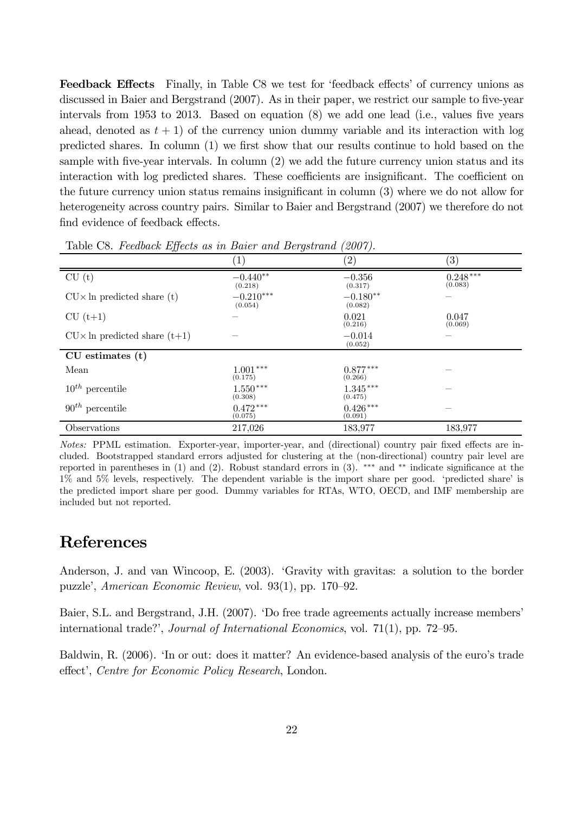Feedback Effects Finally, in Table C8 we test for 'feedback effects' of currency unions as discussed in Baier and Bergstrand (2007). As in their paper, we restrict our sample to five-year intervals from  $1953$  to  $2013$ . Based on equation  $(8)$  we add one lead (i.e., values five years ahead, denoted as  $t + 1$ ) of the currency union dummy variable and its interaction with log predicted shares. In column  $(1)$  we first show that our results continue to hold based on the sample with five-year intervals. In column  $(2)$  we add the future currency union status and its interaction with log predicted shares. These coefficients are insignificant. The coefficient on the future currency union status remains insignificant in column  $(3)$  where we do not allow for heterogeneity across country pairs. Similar to Baier and Bergstrand (2007) we therefore do not find evidence of feedback effects.

| $\bm{v}$                               |                             |                       |                       |
|----------------------------------------|-----------------------------|-----------------------|-----------------------|
|                                        | $\left\lceil 1\right\rceil$ | $^{\prime}2)$         | $\left( 3\right)$     |
| CU(t)                                  | $-0.440**$<br>(0.218)       | $-0.356$<br>(0.317)   | $0.248***$<br>(0.083) |
| $CU \times ln$ predicted share (t)     | $-0.210***$<br>(0.054)      | $-0.180**$<br>(0.082) |                       |
| $CU (t+1)$                             |                             | 0.021<br>(0.216)      | 0.047<br>(0.069)      |
| $CU \times In$ predicted share $(t+1)$ |                             | $-0.014$<br>(0.052)   |                       |
| $CU$ estimates $(t)$                   |                             |                       |                       |
| Mean                                   | $1.001***$<br>(0.175)       | $0.877***$<br>(0.266) |                       |
| $10^{th}$ percentile                   | $1.550***$<br>(0.308)       | $1.345***$<br>(0.475) |                       |
| $90^{th}$ percentile                   | $0.472***$<br>(0.075)       | $0.426***$<br>(0.091) |                       |
| Observations                           | 217,026                     | 183,977               | 183,977               |

Table C8. *Feedback Effects as in Baier and Bergstrand (2007)*.

*Notes:* PPML estimation. Exporter-year, importer-year, and (directional) country pair fixed effects are included. Bootstrapped standard errors adjusted for clustering at the (non-directional) country pair level are reported in parentheses in (1) and (2). Robust standard errors in (3). \*\*\* and \*\* indicate significance at the 1% and 5% levels, respectively. The dependent variable is the import share per good. 'predicted share' is the predicted import share per good. Dummy variables for RTAs, WTO, OECD, and IMF membership are included but not reported.

## References

Anderson, J. and van Wincoop, E. (2003). 'Gravity with gravitas: a solution to the border puzzle', *American Economic Review*, vol. 93(1), pp. 170–92.

Baier, S.L. and Bergstrand, J.H. (2007). 'Do free trade agreements actually increase members' international trade?', *Journal of International Economics*, vol. 71(1), pp. 72–95.

Baldwin, R. (2006). 'In or out: does it matter? An evidence-based analysis of the euro's trade effect', *Centre for Economic Policy Research*, London.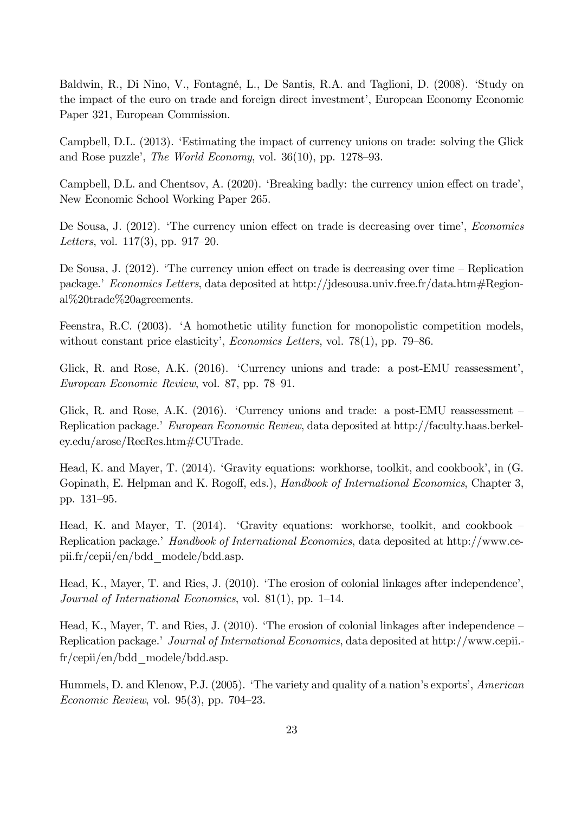Baldwin, R., Di Nino, V., Fontagné, L., De Santis, R.A. and Taglioni, D. (2008). 'Study on the impact of the euro on trade and foreign direct investment', European Economy Economic Paper 321, European Commission.

Campbell, D.L. (2013). 'Estimating the impact of currency unions on trade: solving the Glick and Rose puzzle', *The World Economy*, vol. 36(10), pp. 1278–93.

Campbell, D.L. and Chentsov, A. (2020). 'Breaking badly: the currency union effect on trade', New Economic School Working Paper 265.

De Sousa, J. (2012). 'The currency union effect on trade is decreasing over time', *Economics Letters*, vol. 117(3), pp. 917–20.

De Sousa, J.  $(2012)$ . 'The currency union effect on trade is decreasing over time – Replication package.' *Economics Letters*, data deposited at http://jdesousa.univ.free.fr/data.htm#Regional%20trade%20agreements.

Feenstra, R.C. (2003). 'A homothetic utility function for monopolistic competition models, without constant price elasticity', *Economics Letters*, vol. 78(1), pp. 79–86.

Glick, R. and Rose, A.K. (2016). 'Currency unions and trade: a post-EMU reassessment', *European Economic Review*, vol. 87, pp. 78–91.

Glick, R. and Rose, A.K. (2016). 'Currency unions and trade: a post-EMU reassessment – Replication package.' *European Economic Review*, data deposited at http://faculty.haas.berkeley.edu/arose/RecRes.htm#CUTrade.

Head, K. and Mayer, T. (2014). 'Gravity equations: workhorse, toolkit, and cookbook', in (G. Gopinath, E. Helpman and K. Rogoff, eds.), *Handbook of International Economics*, Chapter 3, pp. 131–95.

Head, K. and Mayer, T. (2014). 'Gravity equations: workhorse, toolkit, and cookbook – Replication package.' *Handbook of International Economics*, data deposited at http://www.cepii.fr/cepii/en/bdd\_modele/bdd.asp.

Head, K., Mayer, T. and Ries, J. (2010). 'The erosion of colonial linkages after independence', *Journal of International Economics*, vol. 81(1), pp. 1–14.

Head, K., Mayer, T. and Ries, J. (2010). 'The erosion of colonial linkages after independence – Replication package.' *Journal of International Economics*, data deposited at http://www.cepii. fr/cepii/en/bdd\_modele/bdd.asp.

Hummels, D. and Klenow, P.J. (2005). 'The variety and quality of a nation's exports', *American Economic Review*, vol. 95(3), pp. 704–23.